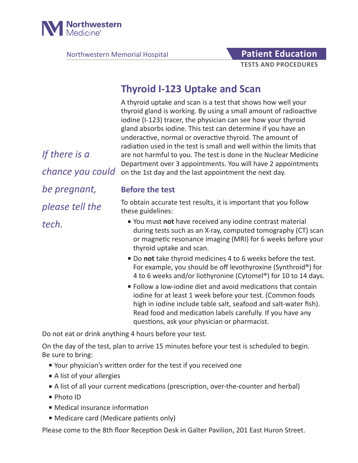

Northwestern Memorial Hospital **Patient Education** 

# **TESTS AND PROCEDURES**

## **Thyroid I-123 Uptake and Scan**

A thyroid uptake and scan is a test that shows how well your thyroid gland is working. By using a small amount of radioactive iodine (I-123) tracer, the physician can see how your thyroid gland absorbs iodine. This test can determine if you have an underactive, normal or overactive thyroid. The amount of radiation used in the test is small and well within the limits that are not harmful to you. The test is done in the Nuclear Medicine Department over 3 appointments. You will have 2 appointments on the 1st day and the last appointment the next day.

#### **Before the test**

To obtain accurate test results, it is important that you follow these guidelines:

- You must **not** have received any iodine contrast material during tests such as an X-ray, computed tomography (CT) scan or magnetic resonance imaging (MRI) for 6 weeks before your thyroid uptake and scan.
- Do **not** take thyroid medicines 4 to 6 weeks before the test. For example, you should be off levothyroxine (Synthroid®) for 4 to 6 weeks and/or liothyronine (Cytomel®) for 10 to 14 days.
- Follow a low-iodine diet and avoid medications that contain iodine for at least 1 week before your test. (Common foods high in iodine include table salt, seafood and salt-water fish). Read food and medication labels carefully. If you have any questions, ask your physician or pharmacist.

Do not eat or drink anything 4 hours before your test.

On the day of the test, plan to arrive 15 minutes before your test is scheduled to begin. Be sure to bring:

- Your physician's written order for the test if you received one
- A list of your allergies
- A list of all your current medications (prescription, over-the-counter and herbal)
- Photo ID
- Medical insurance information
- Medicare card (Medicare patients only)

Please come to the 8th floor Reception Desk in Galter Pavilion, 201 East Huron Street.

*If there is a chance you could be pregnant, please tell the tech.*